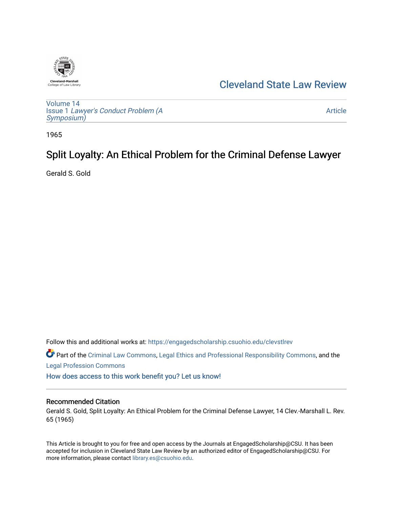

## [Cleveland State Law Review](https://engagedscholarship.csuohio.edu/clevstlrev)

[Volume 14](https://engagedscholarship.csuohio.edu/clevstlrev/vol14) Issue 1 [Lawyer's Conduct Problem \(A](https://engagedscholarship.csuohio.edu/clevstlrev/vol14/iss1) [Symposium\)](https://engagedscholarship.csuohio.edu/clevstlrev/vol14/iss1) 

[Article](https://engagedscholarship.csuohio.edu/clevstlrev/vol14/iss1/6) 

1965

# Split Loyalty: An Ethical Problem for the Criminal Defense Lawyer

Gerald S. Gold

Follow this and additional works at: [https://engagedscholarship.csuohio.edu/clevstlrev](https://engagedscholarship.csuohio.edu/clevstlrev?utm_source=engagedscholarship.csuohio.edu%2Fclevstlrev%2Fvol14%2Fiss1%2F6&utm_medium=PDF&utm_campaign=PDFCoverPages)

Part of the [Criminal Law Commons,](http://network.bepress.com/hgg/discipline/912?utm_source=engagedscholarship.csuohio.edu%2Fclevstlrev%2Fvol14%2Fiss1%2F6&utm_medium=PDF&utm_campaign=PDFCoverPages) [Legal Ethics and Professional Responsibility Commons](http://network.bepress.com/hgg/discipline/895?utm_source=engagedscholarship.csuohio.edu%2Fclevstlrev%2Fvol14%2Fiss1%2F6&utm_medium=PDF&utm_campaign=PDFCoverPages), and the [Legal Profession Commons](http://network.bepress.com/hgg/discipline/1075?utm_source=engagedscholarship.csuohio.edu%2Fclevstlrev%2Fvol14%2Fiss1%2F6&utm_medium=PDF&utm_campaign=PDFCoverPages)

[How does access to this work benefit you? Let us know!](http://library.csuohio.edu/engaged/)

## Recommended Citation

Gerald S. Gold, Split Loyalty: An Ethical Problem for the Criminal Defense Lawyer, 14 Clev.-Marshall L. Rev. 65 (1965)

This Article is brought to you for free and open access by the Journals at EngagedScholarship@CSU. It has been accepted for inclusion in Cleveland State Law Review by an authorized editor of EngagedScholarship@CSU. For more information, please contact [library.es@csuohio.edu](mailto:library.es@csuohio.edu).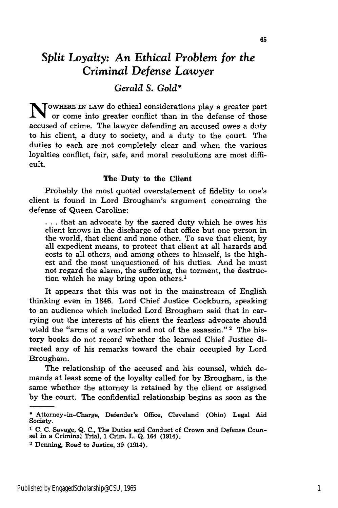## *Split Loyalty: An Ethical Problem for the Criminal Defense Lawyer*

## *Gerald S. Gold\**

N OWHERE IN LAW do ethical considerations play a greater part or come into greater conflict than in the defense of those accused of crime. The lawyer defending an accused owes a duty to his client, a duty to society, and a duty to the court. The duties to each are not completely clear and when the various loyalties conflict, fair, safe, and moral resolutions are most difficult.

### **The Duty to the Client**

Probably the most quoted overstatement of fidelity to one's client is found in Lord Brougham's argument concerning the defense of Queen Caroline:

**. .** . that an advocate by the sacred duty which he owes his client knows in the discharge of that office but one person in the world, that client and none other. To save that client, by all expedient means, to protect that client at all hazards and costs to all others, and among others to himself, is the highest and the most unquestioned of his duties. And he must not regard the alarm, the suffering, the torment, the destruction which he may bring upon others.'

It appears that this was not in the mainstream of English thinking even in 1846. Lord Chief Justice Cockburn, speaking to an audience which included Lord Brougham said that in carrying out the interests of his client the fearless advocate should wield the "arms of a warrior and not of the assassin." <sup>2</sup> The history books do not record whether the learned Chief Justice directed any of his remarks toward the chair occupied by Lord Brougham.

The relationship of the accused and his counsel, which demands at least some of the loyalty called for by Brougham, is the same whether the attorney is retained by the client or assigned by the court. The confidential relationship begins as soon as the

**<sup>\*</sup>** Attorney-in-Charge, Defender's Office, Cleveland (Ohio) Legal Aid Society.

**<sup>1</sup> C. C.** Savage, Q. **C.,** The Duties and Conduct of Crown and Defense Counsel in a Criminal Trial, 1 Crim. L. Q. 164 (1914).

**<sup>2</sup>** Denning, Road to Justice, 39 (1914).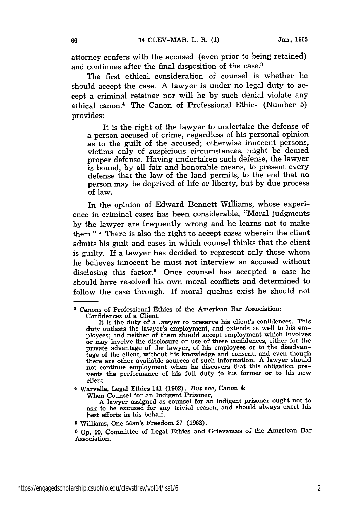attorney confers with the accused (even prior to being retained) and continues after the final disposition of the case.<sup>3</sup>

The first ethical consideration of counsel is whether he should accept the case. A lawyer is under no legal duty to accept a criminal retainer nor will he by such denial violate any ethical canon.4 The Canon of Professional Ethics (Number 5) provides:

It is the right of the lawyer to undertake the defense of a person accused of crime, regardless of his personal opinion as to the guilt of the accused; otherwise innocent persons, victims only of suspicious circumstances, might be denied proper defense. Having undertaken such defense, the lawyer is bound, by all fair and honorable means, to present every defense that the law of the land permits, to the end that no person may be deprived of life or liberty, but by due process of law.

In the opinion of Edward Bennett Williams, whose experience in criminal cases has been considerable, "Moral judgments by the lawyer are frequently wrong and he learns not to make them." **5** There is also the right to accept cases wherein the client admits his guilt and cases in which counsel thinks that the client is guilty. If a lawyer has decided to represent only those whom he believes innocent he must not interview an accused without disclosing this factor.6 Once counsel has accepted a case he should have resolved his own moral conflicts and determined to follow the case through. If moral qualms exist he should not

**<sup>4</sup>**Warvelle, Legal Ethics 141 **(1902).** *But* see, Canon 4:

When Counsel for an Indigent Prisoner,

A lawyer assigned as counsel for an indigent prisoner ought not to ask to be excused for any trivial reason, and should always exert his best efforts in his behalf.

**5** Williams, One Man's Freedom **27 (1962).**

**<sup>3</sup>**Canons of Professional Ethics of the American Bar Association: Confidences of a Client,

It is the duty of a lawyer to preserve his client's confidences. This duty outlasts the lawyer's employment, and extends as well to his employees; and neither of them should accept employment which involves or may involve the disclosure or use of these confidences, either for the private advantage of the lawyer, of his employees or to the disadvantage of the client, without his knowledge and consent, and even though there are other available sources of such information. A lawyer should not continue employment when he discovers that this obligation prevents the performance of his full duty to his former or to his new client.

**<sup>6</sup> Op. 90,** Committee of Legal Ethics and Grievances of the American Bar Association.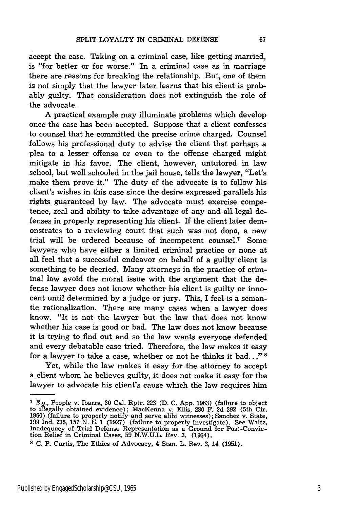accept the case. Taking on a criminal case, like getting married, is "for better or for worse." In a criminal case as in marriage there are reasons for breaking the relationship. But, one of them is not simply that the lawyer later learns that his client is probably guilty. That consideration does not extinguish the role of the advocate.

**A** practical example may illuminate problems which develop once the case has been accepted. Suppose that a client confesses to counsel that he committed the precise crime charged. Counsel follows his professional duty to advise the client that perhaps a plea to a lesser offense or even to the offense charged might mitigate in his favor. The client, however, untutored in law school, but well schooled in the jail house, tells the lawyer, "Let's make them prove it." The duty of the advocate is to follow his client's wishes in this case since the desire expressed parallels his rights guaranteed **by** law. The advocate must exercise competence, zeal and ability to take advantage of any and all legal defenses in properly representing his client. If the client later demonstrates to a reviewing court that such was not done, a new trial will be ordered because of incompetent counsel.7 Some lawyers who have either a limited criminal practice or none at all feel that a successful endeavor on behalf of a guilty client is something to be decried. Many attorneys in the practice of criminal law avoid the moral issue with the argument that the defense lawyer does not know whether his client is guilty or innocent until determined **by** a judge or jury. This, I feel is a semantic rationalization. There are many cases when a lawyer does know. "It is not the lawyer but the law that does not know whether his case is good or bad. The law does not know because it is trying to find out and so the law wants everyone defended and every debatable case tried. Therefore, the law makes it easy for a lawyer to take a case, whether or not he thinks it **bad.. ." 8**

Yet, while the law makes it easy for the attorney to accept a client whom he believes guilty, it does not make it easy for the lawyer to advocate his client's cause which the law requires him

*<sup>7</sup>* **E.g.,** People v. Ibarra, **30** Cal. Rptr. **223 (D. C. App. 1963)** (failure to object to illegally obtained evidence); MacKenna v. Ellis, **280** F. **2d 392** (5th Cir. 1960) (failure to properly notify and serve alibi witnesses); Sanchez v. State,<br>1960) (failure to properly notify and serve alibi witnesses); Sanchez v. State,<br>199 Ind. 235, 157 N. E. 1 (1927) (failure to properly investig tion Relief in Criminal Cases, **59 N.W.U.L.** Rev. **3.** (1964).

**<sup>8</sup> C.** P. Curtis, The Ethics of Advocacy, 4 Stan. L. Rev. **3,** 14 **(1951).**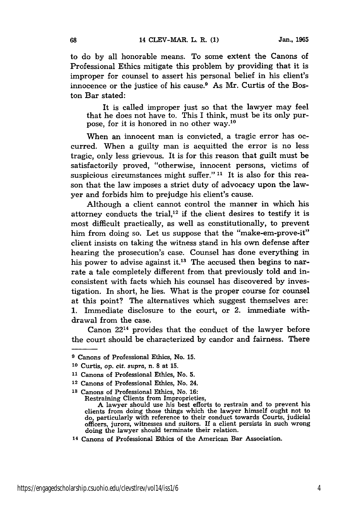to do by all honorable means. To some extent the Canons of Professional Ethics mitigate this problem by providing that it is improper for counsel to assert his personal belief in his client's innocence or the justice of his cause. $9$  As Mr. Curtis of the Boston Bar stated:

It is called improper just so that the lawyer may feel that he does not have to. This I think, must be its only purpose, for it is honored in no other way.'0

When an innocent man is convicted, a tragic error has occurred. When a guilty man is acquitted the error is no less tragic, only less grievous. It is for this reason that guilt must be satisfactorily proved, "otherwise, innocent persons, victims of suspicious circumstances might suffer." **11** It is also for this reason that the law imposes a strict duty of advocacy upon the lawyer and forbids him to prejudge his client's cause.

Although a client cannot control the manner in which his attorney conducts the trial, $12$  if the client desires to testify it is most difficult practically, as well as constitutionally, to prevent him from doing so. Let us suppose that the "make-em-prove-it" client insists on taking the witness stand in his own defense after hearing the prosecution's case. Counsel has done everything in his power to advise against it.<sup>13</sup> The accused then begins to narrate a tale completely different from that previously told and inconsistent with facts which his counsel has discovered by investigation. In short, he lies. What is the proper course for counsel at this point? The alternatives which suggest themselves are: 1. Immediate disclosure to the court, or 2. immediate withdrawal from the case.

Canon 2214 provides that the conduct of the lawyer before the court should be characterized by candor and fairness. There

Restraining Clients from Improprieties,

**<sup>9</sup>** Canons of Professional Ethics, No. **15.**

**<sup>10</sup>**Curtis, op. cit. *supra,* n. **8** at 15.

**<sup>11</sup>**Canons of Professional Ethics, No. **5.**

**<sup>12</sup>** Canons of Professional Ethics, **No.** 24.

**<sup>13</sup>**Canons of Professional Ethics, No. **16:**

**A** lawyer should use his best efforts to restrain and to prevent his clients from doing those things which the lawyer himself ought not to do, particularly with reference to their conduct towards Courts, judicial officers, jurors, witnesses and suitors. If a client persists in such wrong doing the lawyer should terminate their relation.

**<sup>14</sup>**Canons of Professional Ethics of the American Bar Association.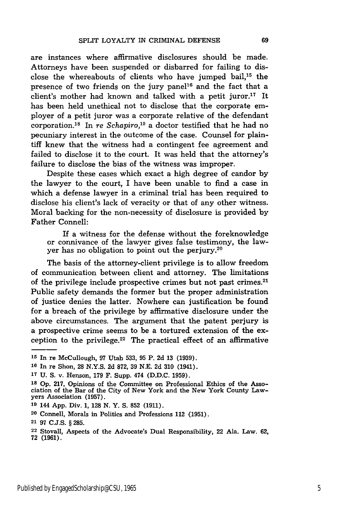are instances where affirmative disclosures should be made. Attorneys have been suspended or disbarred for failing to disclose the whereabouts of clients who have jumped bail,15 the presence of two friends on the jury panel<sup>16</sup> and the fact that a client's mother had known and talked with a petit juror.<sup>17</sup> It has been held unethical not to disclose that the corporate employer of a petit juror was a corporate relative of the defendant corporation.<sup>18</sup> In *re Schapiro*,<sup>19</sup> a doctor testified that he had no pecuniary interest in the outcome of the case. Counsel for plaintiff knew that the witness had a contingent fee agreement and failed to disclose it to the court. It was held that the attorney's failure to disclose the bias of the witness was improper.

Despite these cases which exact a high degree of candor by the lawyer to the court, I have been unable to find a case in which a defense lawyer in a criminal trial has been required to disclose his client's lack of veracity or that of any other witness. Moral backing for the non-necessity of disclosure is provided by Father Connell:

If a witness for the defense without the foreknowledge or connivance of the lawyer gives false testimony, the lawyer has no obligation to point out the perjury.<sup>20</sup>

The basis of the attorney-client privilege is to allow freedom of communication between client and attorney. The limitations of the privilege include prospective crimes but not past crimes.21 Public safety demands the former but the proper administration of justice denies the latter. Nowhere can justification be found for a breach of the privilege by affirmative disclosure under the above circumstances. The argument that the patent perjury is a prospective crime seems to be a tortured extension of the exception to the privilege.<sup>22</sup> The practical effect of an affirmative

**<sup>15</sup>**In re McCullough, 97 Utah **533, 95** P. **2d 13 (1939).**

**<sup>16</sup>**In re Shon, **28** N.Y.S. **2d** 872, 39 N.E. 2d 310 (1941).

**<sup>17</sup>**U. S. v. Henson, 179 F. Supp. 474 (D.D.C. 1959).

**<sup>18</sup>** Op. 217, Opinions of the Committee on Professional Ethics of the Association of the Bar of the City of New York and the New York County Lawyers Association (1957).

**<sup>19</sup>** 144 App. Div. 1, **128 N.** Y. **S. 852** (1911).

<sup>20</sup> Connell, Morals in Politics and Professions 112 (1951).

**<sup>21 97</sup> C.J.S.** § 285.

<sup>22</sup> Stovall, Aspects of the Advocate's Dual Responsibility, 22 Ala. Law. 62, **72** (1961).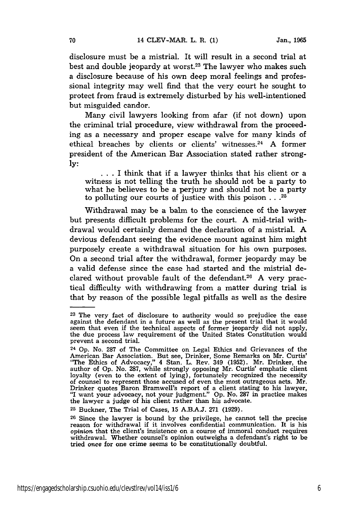disclosure must be a mistrial. It will result in a second trial at best and double jeopardy at worst.<sup>23</sup> The lawyer who makes such a disclosure because of his own deep moral feelings and professional integrity may well find that the very court he sought to protect from fraud is extremely disturbed by his well-intentioned but misguided candor.

Many civil lawyers looking from afar (if not down) upon the criminal trial procedure, view withdrawal from the proceeding as a necessary and proper escape valve for many kinds of ethical breaches by clients or clients' witnesses.<sup>24</sup> A former president of the American Bar Association stated rather strongly:

... I think that if a lawyer thinks that his client or a witness is not telling the truth he should not be a party to what he believes to be a perjury and should not be a party to polluting our courts of justice with this poison **... <sup>25</sup>**

Withdrawal may be a balm to the conscience of the lawyer but presents difficult problems for the court. A mid-trial withdrawal would certainly demand the declaration of a mistrial. A devious defendant seeing the evidence mount against him might purposely create a withdrawal situation for his own purposes. On a second trial after the withdrawal, former jeopardy may be a valid defense since the case had started and the mistrial declared without provable fault of the defendant.<sup>26</sup> A very practical difficulty with withdrawing from a matter during trial is that by reason of the possible legal pitfalls as well as the desire

**<sup>25</sup>**Buckner, The Trial of Cases, 15 A.BA.J. **271** (1929).

**<sup>23</sup>**The very fact of disclosure to authority would so prejudice the case against the defendant in a future as well as the present trial that it would aspects of former jeopardy did not apply seem that even if the technical aspects of former jeopardy did not apply, the due process law requirement of the United States Constitution would prevent a second trial.

<sup>24</sup>**Op.** No. 287 of The Committee on Legal Ethics and Grievances of the American Bar Association. But see, Drinker, Some Remarks on Mr. Curtis' "The Ethics of Advocacy," 4 Stan. L. Rev. 349 (1952). Mr. Drinker, the author of Op. No. 287, while strongly opposing Mr. Curtis' emphatic client loyalty (even to the extent of lying), fortunately recognized the necessity of counsel to represent those accused of even the most outrageous acts. Mr. Drinker quotes Baron Bramwell's report of a client stating to his lawyer, "I want your advocacy, not your judgment." Op. No. **287** in practice makes the lawyer a judge of his client rather than his advocate.

**<sup>26</sup>**Since the lawyer is bound by the privilege, he cannot tell the precise reason for withdrawal if it involves confidential communication. It is his opinion that the client's insistence on a course of immoral conduct requires withdrawal. Whether counsel's opinion outweighs a defendant's right to be tried once for one crime seems to be constitutionally doubtful.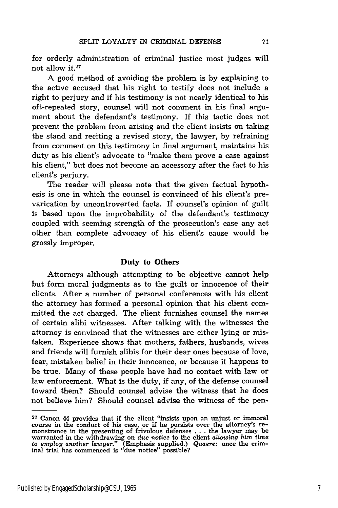for orderly administration of criminal justice most judges will not allow it. $27$ 

A good method of avoiding the problem is by explaining to the active accused that his right to testify does not include a right to perjury and if his testimony is not nearly identical to his oft-repeated story, counsel will not comment in his final argument about the defendant's testimony. If this tactic does not prevent the problem from arising and the client insists on taking the stand and reciting a revised story, the lawyer, by refraining from comment on this testimony in final argument, maintains his duty as his client's advocate to "make them prove a case against his client," but does not become an accessory after the fact to his client's perjury.

The reader will please note that the given factual hypothesis is one in which the counsel is convinced of his client's prevarication by uncontroverted facts. If counsel's opinion of guilt is based upon the improbability of the defendant's testimony coupled with seeming strength of the prosecution's case any act other than complete advocacy of his client's cause would be grossly improper.

### **Duty to Others**

Attorneys although attempting to be objective cannot help but form moral judgments as to the guilt or innocence of their clients. After a number of personal conferences with his client the attorney has formed a personal opinion that his client committed the act charged. The client furnishes counsel the names of certain alibi witnesses. After talking with the witnesses the attorney is convinced that the witnesses are either lying or mistaken. Experience shows that mothers, fathers, husbands, wives and friends will furnish alibis for their dear ones because of love, fear, mistaken belief in their innocence, or because it happens to be true. Many of these people have had no contact with law or law enforcement. What is the duty, if any, of the defense counsel toward them? Should counsel advise the witness that he does not believe him? Should counsel advise the witness of the pen-

<sup>&</sup>lt;sup>27</sup> Canon 44 provides that if the client "insists upon an unjust or immoral course in the conduct of his case, or if he persists over the attorney's remonstrance in the presenting of frivolous defenses ... the lawyer may warranted in the withdrawing on *due notice* to the client *allowing* him *time to employ another lawyer."* (Emphasis supplied.) *Quaere:* once the crim-inal trial has commenced is "due notice" possible?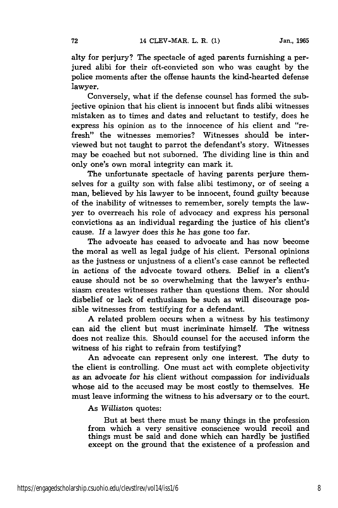alty for perjury? The spectacle of aged parents furnishing a perjured alibi for their oft-convicted son who was caught by the police moments after the offense haunts the kind-hearted defense lawyer.

Conversely, what if the defense counsel has formed the subjective opinion that his client is innocent but finds alibi witnesses mistaken as to times and dates and reluctant to testify, does he express his opinion as to the innocence of his client and "refresh" the witnesses memories? Witnesses should be interviewed but not taught to parrot the defendant's story. Witnesses may be coached but not suborned. The dividing line is thin and only one's own moral integrity can mark it.

The unfortunate spectacle of having parents perjure themselves for a guilty son with false alibi testimony, or of seeing a man, believed by his lawyer to be innocent, found guilty because of the inability of witnesses to remember, sorely tempts the lawyer to overreach his role of advocacy and express his personal convictions as an individual regarding the justice of his client's cause. **If** a lawyer does this he has gone too far.

The advocate has ceased to advocate and has now become the moral as well as legal judge of his client. Personal opinions as the justness or unjustness of a client's case cannot be reflected in actions of the advocate toward others. Belief in a client's cause should not be so overwhelming that the lawyer's enthusiasm creates witnesses rather than questions them. Nor should disbelief or lack of enthusiasm be such as will discourage possible witnesses from testifying for a defendant.

A related problem occurs when a witness by his testimony can aid the client but must incriminate himself. The witness does not realize this. Should counsel for the accused inform the witness of his right to refrain from testifying?

An advocate can represent only one interest. The duty to the client is controlling. One must act with complete objectivity as an advocate for his client without compassion for individuals whose aid to the accused may be most costly to themselves. He must leave informing the witness to his adversary or to the court.

As *Williston* quotes:

But at best there must be many things in the profession from which a very sensitive conscience would recoil and things must be said and done which can hardly be justified except on the ground that the existence of a profession and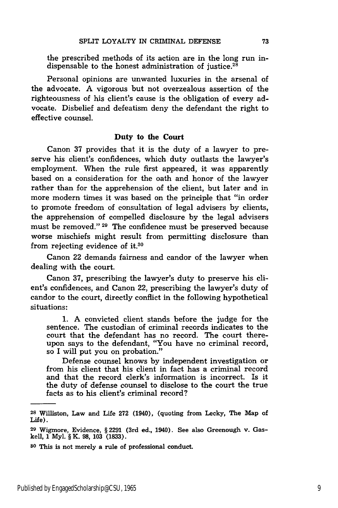the prescribed methods of its action are in the long run indispensable to the honest administration of justice.<sup>28</sup>

Personal opinions are unwanted luxuries in the arsenal of the advocate. A vigorous but not overzealous assertion of the righteousness of his client's cause is the obligation of every advocate. Disbelief and defeatism deny the defendant the right to effective counsel.

#### **Duty to the Court**

Canon **37** provides that it is the duty of a lawyer to preserve his client's confidences, which duty outlasts the lawyer's employment. When the rule first appeared, it was apparently based on a consideration for the oath and honor of the lawyer rather than for the apprehension of the client, but later and in more modern times it was based on the principle that "in order to promote freedom of consultation of legal advisers **by** clients, the apprehension of compelled disclosure **by** the legal advisers must be removed." **29** The confidence must be preserved because worse mischiefs might result from permitting disclosure than from rejecting evidence of it.30

Canon 22 demands fairness and candor of the lawyer when dealing with the court.

Canon **37,** prescribing the lawyer's duty to preserve his client's confidences, and Canon 22, prescribing the lawyer's duty of candor to the court, directly conflict in the following hypothetical situations:

1. A convicted client stands before the judge for the sentence. The custodian of criminal records indicates to the court that the defendant has no record. The court thereupon says to the defendant, "You have no criminal record, so I will put you on probation."

Defense counsel knows by independent investigation or from his client that his client in fact has a criminal record and that the record clerk's information is incorrect. Is it the duty of defense counsel to disclose to the court the true facts as to his client's criminal record?

**<sup>28</sup>**Williston, Law and Life **272** (1940), (quoting from Lecky, The Map of Life).

**<sup>29</sup>** Wigmore, Evidence, **§ 2291** (3rd ed., 1940). See also Greenough **v.** Gaskell, **1 Myl. §** K. **98, 103 (1833).**

**<sup>80</sup>**This is not merely a rule of professional conduct.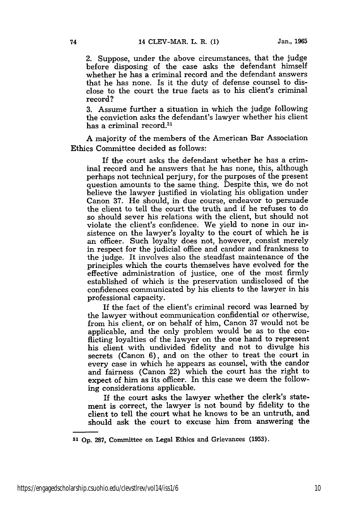2. Suppose, under the above circumstances, that the judge before disposing of the case asks the defendant himself whether he has a criminal record and the defendant answers that he has none. Is it the duty of defense counsel to disclose to the court the true facts as to his client's criminal record?

3. Assume further a situation in which the judge following the conviction asks the defendant's lawyer whether his client has a criminal record. $31$ 

A majority of the members of the American Bar Association Ethics Committee decided as follows:

If the court asks the defendant whether he has a criminal record and he answers that he has none, this, although perhaps not technical perjury, for the purposes of the present question amounts to the same thing. Despite this, we do not believe the lawyer justified in violating his obligation under Canon 37. He should, in due course, endeavor to persuade the client to tell the court the truth and if he refuses to do so should sever his relations with the client, but should not violate the client's confidence. We yield to none in our insistence on the lawyer's loyalty to the court of which he is an officer. Such loyalty does not, however, consist merely in respect for the judicial office and candor and frankness to the judge. It involves also the steadfast maintenance of the principles which the courts themselves have evolved for the effective administration of justice, one of the most firmly established of which is the preservation undisclosed of the confidences communicated by his clients to the lawyer in his professional capacity.

If the fact of the client's criminal record was learned by the lawyer without communication confidential or otherwise, from his client, or on behalf of him, Canon 37 would not be applicable, and the only problem would be as to the conflicting loyalties of the lawyer on the one hand to represent his client with undivided fidelity and not to divulge his secrets (Canon 6), and on the other to treat the court in every case in which he appears as counsel, with the candor and fairness (Canon 22) which the court has the right to expect of him as its officer. In this case we deem the following considerations applicable.

If the court asks the lawyer whether the clerk's statement is correct, the lawyer is not bound by fidelity to the client to tell the court what he knows to be an untruth, and should ask the court to excuse him from answering the

74

**<sup>31</sup>Op. 287,** Committee on Legal Ethics and Grievances **(1953).**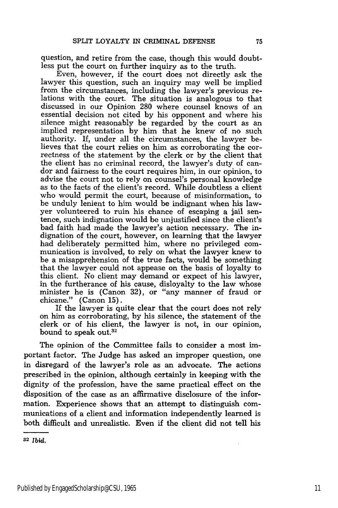question, and retire from the case, though this would doubtless put the court on further inquiry as to the truth.

Even, however, if the court does not directly ask the lawyer this question, such an inquiry may well be implied from the circumstances, including the lawyer's previous relations with the court. The situation is analogous to that discussed in our Opinion 280 where counsel knows of an essential decision not cited by his opponent and where his silence might reasonably be regarded by the court as an implied representation by him that he knew of no such authority. If, under all the circumstances, the lawyer believes that the court relies on him as corroborating the correctness of the statement by the clerk or by the client that the client has no criminal record, the lawyer's duty of candor and fairness to the court requires him, in our opinion, to advise the court not to rely on counsel's personal knowledge as to the facts of the client's record. While doubtless a client who would permit the court, because of misinformation, to be unduly lenient to him would be indignant when his lawyer volunteered to ruin his chance of escaping a jail sentence, such indignation would be unjustified since the client's bad faith had made the lawyer's action necessary. The indignation of the court, however, on learning that the lawyer had deliberately permitted him, where no privileged communication is involved, to rely on what the lawyer knew to be a misapprehension of the true facts, would be something that the lawyer could not appease on the basis of loyalty to this client. No client may demand or expect of his lawyer, in the furtherance of his cause, disloyalty to the law whose minister he is (Canon 32), or "any manner of fraud or chicane." (Canon 15).

If the lawyer is quite clear that the court does not rely on him as corroborating, by his silence, the statement of the clerk or of his client, the lawyer is not, in our opinion, bound to speak out.<sup>32</sup>

The opinion of the Committee fails to consider a most important factor. The Judge has asked an improper question, one in disregard of the lawyer's role as an advocate. The actions prescribed in the opinion, although certainly in keeping with the dignity of the profession, have the same practical effect on the disposition of the case as an affirmative disclosure of the information. Experience shows that an attempt to distinguish communications of a client and information independently learned is both difficult and unrealistic. Even if the client did not tell his

**32** *Ibld.*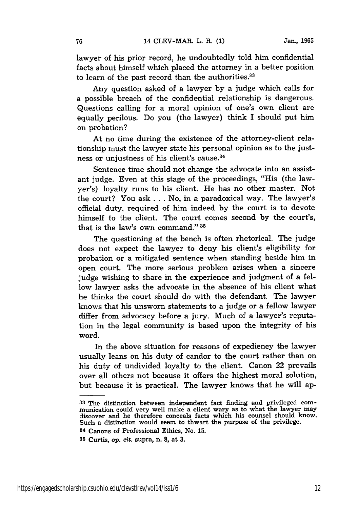lawyer of his prior record, he undoubtedly told him confidential facts about himself which placed the attorney in a better position to learn of the past record than the authorities.<sup>33</sup>

Any question asked of a lawyer by a judge which calls for a possible breach of the confidential relationship is dangerous. Questions calling for a moral opinion of one's own client are equally perilous. Do you (the lawyer) think I should put him on probation?

At no time during the existence of the attorney-client relationship must the lawyer state his personal opinion as to the justness or unjustness of his client's cause. <sup>34</sup>

Sentence time should not change the advocate into an assistant judge. Even at this stage of the proceedings, "His (the lawyer's) loyalty runs to his client. He has no other master. Not the court? You ask **...** No, in a paradoxical way. The lawyer's official duty, required of him indeed by the court is to devote himself to the client. The court comes second by the court's, that is the law's own command." **<sup>35</sup>**

The questioning at the bench is often rhetorical. The judge does not expect the lawyer to deny his client's eligibility for probation or a mitigated sentence when standing beside him in open court. The more serious problem arises when a sincere judge wishing to share in the experience and judgment of a fellow lawyer asks the advocate in the absence of his client what he thinks the court should do with the defendant. The lawyer knows that his unsworn statements to a judge or a fellow lawyer differ from advocacy before a jury. Much of a lawyer's reputation in the legal community is based upon the integrity of his word.

In the above situation for reasons of expediency the lawyer usually leans on his duty of candor to the court rather than on his duty of undivided loyalty to the client. Canon 22 prevails over all others not because it offers the highest moral solution, but because it is practical. The lawyer knows that he will ap-

**<sup>33</sup>**The distinction between independent fact finding and privileged com- munication could very well make a client wary as to what the lawyer may discover and he therefore conceals facts which his counsel should know. Such a distinction would seem to thwart the purpose of the privilege. **<sup>84</sup>**Canons of Professional Ethics, No. **15.**

**<sup>35</sup>**Curtis, op. cit. supra, n. **8,** at **3.**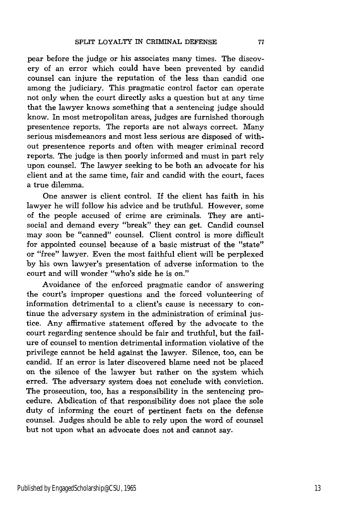pear before the judge or his associates many times. The discovery of an error which could have been prevented by candid counsel can injure the reputation of the less than candid one among the judiciary. This pragmatic control factor can operate not only when the court directly asks a question but at any time that the lawyer knows something that a sentencing judge should know. In most metropolitan areas, judges are furnished thorough presentence reports. The reports are not always correct. Many serious misdemeanors and most less serious are disposed of without presentence reports and often with meager criminal record reports. The judge is then poorly informed and must in part rely upon counsel. The lawyer seeking to be both an advocate for his client and at the same time, fair and candid with the court, faces a true dilemma.

One answer is client control. If the client has faith in his lawyer he will follow his advice and be truthful. However, some of the people accused of crime are criminals. They are antisocial and demand every "break" they can get. Candid counsel may soon be "canned" counsel. Client control is more difficult for appointed counsel because of a basic mistrust of the "state" or "free" lawyer. Even the most faithful client will be perplexed by his own lawyer's presentation of adverse information to the court and will wonder "who's side he is on."

Avoidance of the enforced pragmatic candor of answering the court's improper questions and the forced volunteering of information detrimental to a client's cause is necessary to continue the adversary system in the administration of criminal justice. Any affirmative statement offered by the advocate to the court regarding sentence should be fair and truthful, but the failure of counsel to mention detrimental information violative of the privilege cannot be held against the lawyer. Silence, too, can be candid. If an error is later discovered blame need not be placed on the silence of the lawyer but rather on the system which erred. The adversary system does not conclude with conviction. The prosecution, too, has a responsibility in the sentencing procedure. Abdication of that responsibility does not place the sole duty of informing the court of pertinent facts on the defense counsel. Judges should be able to rely upon the word of counsel but not upon what an advocate does not and cannot say.